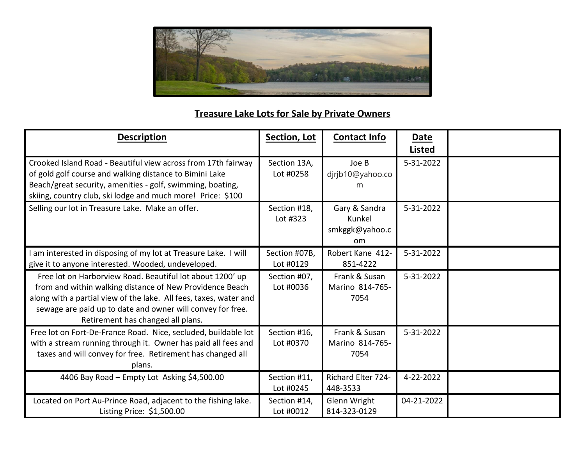

## **Treasure Lake Lots for Sale by Private Owners**

| <b>Description</b>                                                                                                                                                                                                                                                                            | Section, Lot               | <b>Contact Info</b>                             | <b>Date</b><br><b>Listed</b> |  |
|-----------------------------------------------------------------------------------------------------------------------------------------------------------------------------------------------------------------------------------------------------------------------------------------------|----------------------------|-------------------------------------------------|------------------------------|--|
| Crooked Island Road - Beautiful view across from 17th fairway<br>of gold golf course and walking distance to Bimini Lake<br>Beach/great security, amenities - golf, swimming, boating,<br>skiing, country club, ski lodge and much more! Price: \$100                                         | Section 13A,<br>Lot #0258  | Joe B<br>djrjb10@yahoo.co<br>m                  | 5-31-2022                    |  |
| Selling our lot in Treasure Lake. Make an offer.                                                                                                                                                                                                                                              | Section #18,<br>Lot #323   | Gary & Sandra<br>Kunkel<br>smkggk@yahoo.c<br>om | 5-31-2022                    |  |
| am interested in disposing of my lot at Treasure Lake. I will<br>give it to anyone interested. Wooded, undeveloped.                                                                                                                                                                           | Section #07B,<br>Lot #0129 | Robert Kane 412-<br>851-4222                    | 5-31-2022                    |  |
| Free lot on Harborview Road. Beautiful lot about 1200' up<br>from and within walking distance of New Providence Beach<br>along with a partial view of the lake. All fees, taxes, water and<br>sewage are paid up to date and owner will convey for free.<br>Retirement has changed all plans. | Section #07,<br>Lot #0036  | Frank & Susan<br>Marino 814-765-<br>7054        | 5-31-2022                    |  |
| Free lot on Fort-De-France Road. Nice, secluded, buildable lot<br>with a stream running through it. Owner has paid all fees and<br>taxes and will convey for free. Retirement has changed all<br>plans.                                                                                       | Section #16,<br>Lot #0370  | Frank & Susan<br>Marino 814-765-<br>7054        | 5-31-2022                    |  |
| 4406 Bay Road - Empty Lot Asking \$4,500.00                                                                                                                                                                                                                                                   | Section #11,<br>Lot #0245  | Richard Elter 724-<br>448-3533                  | 4-22-2022                    |  |
| Located on Port Au-Prince Road, adjacent to the fishing lake.<br>Listing Price: \$1,500.00                                                                                                                                                                                                    | Section #14,<br>Lot #0012  | Glenn Wright<br>814-323-0129                    | 04-21-2022                   |  |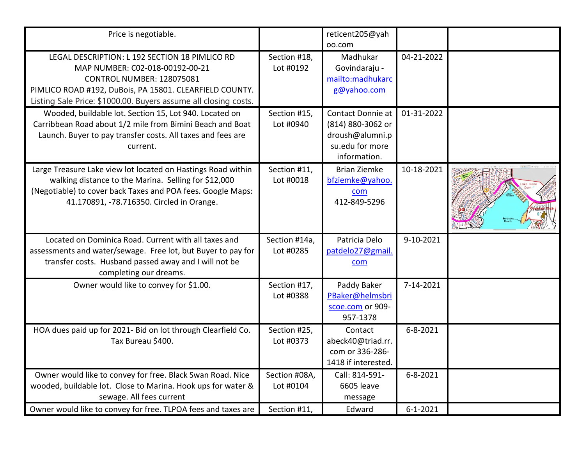| Price is negotiable.                                                                                                                                                                                                                                |                            | reticent205@yah<br>oo.com                                                                    |                |  |
|-----------------------------------------------------------------------------------------------------------------------------------------------------------------------------------------------------------------------------------------------------|----------------------------|----------------------------------------------------------------------------------------------|----------------|--|
| LEGAL DESCRIPTION: L 192 SECTION 18 PIMLICO RD<br>MAP NUMBER: C02-018-00192-00-21<br><b>CONTROL NUMBER: 128075081</b><br>PIMLICO ROAD #192, DuBois, PA 15801. CLEARFIELD COUNTY.<br>Listing Sale Price: \$1000.00. Buyers assume all closing costs. | Section #18,<br>Lot #0192  | Madhukar<br>Govindaraju -<br>mailto:madhukarc<br>g@yahoo.com                                 | 04-21-2022     |  |
| Wooded, buildable lot. Section 15, Lot 940. Located on<br>Carribbean Road about 1/2 mile from Bimini Beach and Boat<br>Launch. Buyer to pay transfer costs. All taxes and fees are<br>current.                                                      | Section #15,<br>Lot #0940  | Contact Donnie at<br>(814) 880-3062 or<br>droush@alumni.p<br>su.edu for more<br>information. | 01-31-2022     |  |
| Large Treasure Lake view lot located on Hastings Road within<br>walking distance to the Marina. Selling for \$12,000<br>(Negotiable) to cover back Taxes and POA fees. Google Maps:<br>41.170891, -78.716350. Circled in Orange.                    | Section #11,<br>Lot #0018  | <b>Brian Ziemke</b><br>bfziemke@yahoo.<br>com<br>412-849-5296                                | 10-18-2021     |  |
| Located on Dominica Road. Current with all taxes and<br>assessments and water/sewage. Free lot, but Buyer to pay for<br>transfer costs. Husband passed away and I will not be<br>completing our dreams.                                             | Section #14a,<br>Lot #0285 | Patricia Delo<br>patdelo27@gmail.<br>com                                                     | 9-10-2021      |  |
| Owner would like to convey for \$1.00.                                                                                                                                                                                                              | Section #17,<br>Lot #0388  | Paddy Baker<br>PBaker@helmsbri<br>scoe.com or 909-<br>957-1378                               | 7-14-2021      |  |
| HOA dues paid up for 2021- Bid on lot through Clearfield Co.<br>Tax Bureau \$400.                                                                                                                                                                   | Section #25,<br>Lot #0373  | Contact<br>abeck40@triad.rr.<br>com or 336-286-<br>1418 if interested.                       | $6 - 8 - 2021$ |  |
| Owner would like to convey for free. Black Swan Road. Nice<br>wooded, buildable lot. Close to Marina. Hook ups for water &<br>sewage. All fees current                                                                                              | Section #08A,<br>Lot #0104 | Call: 814-591-<br>6605 leave<br>message                                                      | $6 - 8 - 2021$ |  |
| Owner would like to convey for free. TLPOA fees and taxes are                                                                                                                                                                                       | Section #11,               | Edward                                                                                       | $6 - 1 - 2021$ |  |